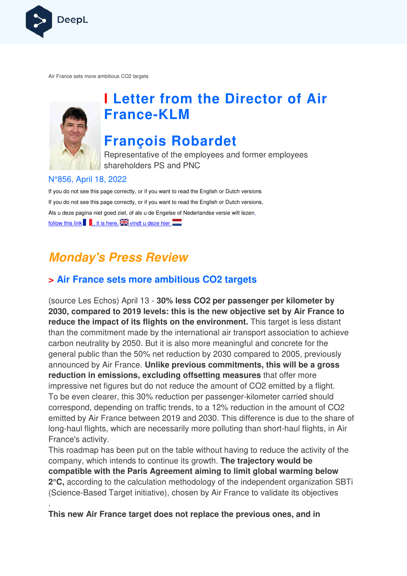

Air France sets more ambitious CO2 targets



.

# **I Letter from the Director of Air France France-KLM**

## **François Robardet**

Representative of the employees and former employees shareholders PS and PNC

### N°856, April 18, 2022

If you do not see this page correctly, or if you want to read the English or Dutch versions If you do not see this page correctly, or if you want to read the English or Dutch versions, If you do not see this page correctly, or if you want to read the English or Dutch versior<br>Als u deze pagina niet goed ziet, of als u de Engelse of Nederlandse versie wilt lezen, follow this link  $\blacksquare$ , it is here,  $\blacksquare$  vindt u deze hier

## **Monday's Press Review**

### **> Air France sets more ambitious CO2 targets**

(source Les Echos) April 13 - **30% less CO2 per passenger per kilometer by 2030, compared to 2019 levels: this is the new objective set by Air France to reduce the impact of its flights on the environment.** This target is less distant than the commitment made by the international air transport association to achieve carbon neutrality by 2050. But it is also more meaningful and concrete for the general public than the 50% net reduction by 2030 compared to 2005, previously announced by Air France. **Unlike previous commitments, this will be a** reduction in emissions, excluding offsetting measures that offer more impressive net figures but do not reduce the amount of CO2 emitted by a flight. To be even clearer, this 30% reduction per passenger-kilometer carried should correspond, depending on traffic trends, to a 12% reduction in the amount of CO2 emitted by Air France between 2019 and 2030. This difference is due to the share of correspond, depending on traffic trends, to a 12% reduction in the amount of CO2<br>emitted by Air France between 2019 and 2030. This difference is due to the share o<br>long-haul flights, which are necessarily more polluting th France's activity. commitment made by the international air transport association to achieve utrality by 2050. But it is also more meaningful and concrete for the ublic than the 50% net reduction by 2030 compared to 2005, previously d by Air reduction per passenger-kilometer carrie<br>fic trends, to a 12% reduction in the amon 2019 and 2030. This difference is due<br>cessarily more polluting than short-haul<br>n the table without having to reduce the antinue its growth

This roadmap has been put on the table without having to reduce the activity of the s company, which intends to continue its growth. **The trajectory would be compatible with the Paris Agreement aiming to limit global warming below**  2°C, according to the calculation methodology of the independent organization SBTi (Science-Based Target initiative), chosen by Air France to validate its objectives

**This new Air France target does not replace the previous ones, and in**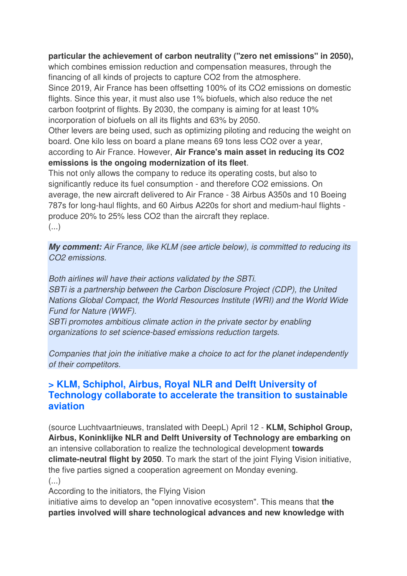### **particular the achievement of carbon neutrality ("zero net emissions" in 2050),**

which combines emission reduction and compensation measures, through the financing of all kinds of projects to capture CO2 from the atmosphere. Since 2019, Air France has been offsetting 100% of its CO2 emissions on domestic flights. Since this year, it must also use 1% biofuels, which also reduce the net carbon footprint of flights. By 2030, the company is aiming for at least 10% incorporation of biofuels on all its flights and 63% by 2050.

Other levers are being used, such as optimizing piloting and reducing the weight on board. One kilo less on board a plane means 69 tons less CO2 over a year, according to Air France. However, **Air France's main asset in reducing its CO2 emissions is the ongoing modernization of its fleet**.

This not only allows the company to reduce its operating costs, but also to significantly reduce its fuel consumption - and therefore CO2 emissions. On average, the new aircraft delivered to Air France - 38 Airbus A350s and 10 Boeing 787s for long-haul flights, and 60 Airbus A220s for short and medium-haul flights produce 20% to 25% less CO2 than the aircraft they replace. (...)

**My comment:** Air France, like KLM (see article below), is committed to reducing its CO2 emissions.

Both airlines will have their actions validated by the SBTi. SBTi is a partnership between the Carbon Disclosure Project (CDP), the United Nations Global Compact, the World Resources Institute (WRI) and the World Wide Fund for Nature (WWF).

SBTi promotes ambitious climate action in the private sector by enabling organizations to set science-based emissions reduction targets.

Companies that join the initiative make a choice to act for the planet independently of their competitors.

### **> KLM, Schiphol, Airbus, Royal NLR and Delft University of Technology collaborate to accelerate the transition to sustainable aviation**

(source Luchtvaartnieuws, translated with DeepL) April 12 - **KLM, Schiphol Group, Airbus, Koninklijke NLR and Delft University of Technology are embarking on**  an intensive collaboration to realize the technological development **towards climate-neutral flight by 2050**. To mark the start of the joint Flying Vision initiative, the five parties signed a cooperation agreement on Monday evening. (...)

According to the initiators, the Flying Vision

initiative aims to develop an "open innovative ecosystem". This means that **the parties involved will share technological advances and new knowledge with**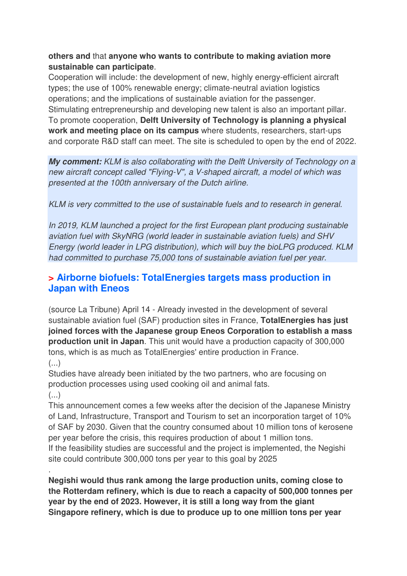### **others and** that **anyone who wants to contribute to making aviation more sustainable can participate**.

Cooperation will include: the development of new, highly energy-efficient aircraft types; the use of 100% renewable energy; climate-neutral aviation logistics operations; and the implications of sustainable aviation for the passenger. Stimulating entrepreneurship and developing new talent is also an important pillar. To promote cooperation, **Delft University of Technology is planning a physical work and meeting place on its campus** where students, researchers, start-ups and corporate R&D staff can meet. The site is scheduled to open by the end of 2022.

**My comment:** KLM is also collaborating with the Delft University of Technology on a new aircraft concept called "Flying-V", a V-shaped aircraft, a model of which was presented at the 100th anniversary of the Dutch airline.

KLM is very committed to the use of sustainable fuels and to research in general.

In 2019, KLM launched a project for the first European plant producing sustainable aviation fuel with SkyNRG (world leader in sustainable aviation fuels) and SHV Energy (world leader in LPG distribution), which will buy the bioLPG produced. KLM had committed to purchase 75,000 tons of sustainable aviation fuel per year.

### **> Airborne biofuels: TotalEnergies targets mass production in Japan with Eneos**

(source La Tribune) April 14 - Already invested in the development of several sustainable aviation fuel (SAF) production sites in France, **TotalEnergies has just joined forces with the Japanese group Eneos Corporation to establish a mass production unit in Japan**. This unit would have a production capacity of 300,000 tons, which is as much as TotalEnergies' entire production in France. (...)

Studies have already been initiated by the two partners, who are focusing on production processes using used cooking oil and animal fats. (...)

This announcement comes a few weeks after the decision of the Japanese Ministry of Land, Infrastructure, Transport and Tourism to set an incorporation target of 10% of SAF by 2030. Given that the country consumed about 10 million tons of kerosene per year before the crisis, this requires production of about 1 million tons. If the feasibility studies are successful and the project is implemented, the Negishi site could contribute 300,000 tons per year to this goal by 2025

. **Negishi would thus rank among the large production units, coming close to the Rotterdam refinery, which is due to reach a capacity of 500,000 tonnes per year by the end of 2023. However, it is still a long way from the giant Singapore refinery, which is due to produce up to one million tons per year**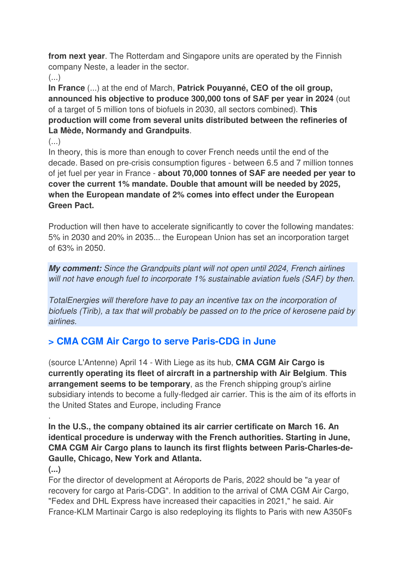**from next year**. The Rotterdam and Singapore units are operated by the Finnish company Neste, a leader in the sector.

 $\left(\ldots\right)$ 

**In France** (...) at the end of March, **Patrick Pouyanné, CEO of the oil group, announced his objective to produce 300,000 tons of SAF per year in 2024** (out of a target of 5 million tons of biofuels in 2030, all sectors combined). **This production will come from several units distributed between the refineries of La Mède, Normandy and Grandpuits**.

(...)

In theory, this is more than enough to cover French needs until the end of the decade. Based on pre-crisis consumption figures - between 6.5 and 7 million tonnes of jet fuel per year in France - **about 70,000 tonnes of SAF are needed per year to cover the current 1% mandate. Double that amount will be needed by 2025, when the European mandate of 2% comes into effect under the European Green Pact.** 

Production will then have to accelerate significantly to cover the following mandates: 5% in 2030 and 20% in 2035... the European Union has set an incorporation target of 63% in 2050.

**My comment:** Since the Grandpuits plant will not open until 2024, French airlines will not have enough fuel to incorporate 1% sustainable aviation fuels (SAF) by then.

TotalEnergies will therefore have to pay an incentive tax on the incorporation of biofuels (Tirib), a tax that will probably be passed on to the price of kerosene paid by airlines.

## **> CMA CGM Air Cargo to serve Paris-CDG in June**

(source L'Antenne) April 14 - With Liege as its hub, **CMA CGM Air Cargo is currently operating its fleet of aircraft in a partnership with Air Belgium**. **This arrangement seems to be temporary**, as the French shipping group's airline subsidiary intends to become a fully-fledged air carrier. This is the aim of its efforts in the United States and Europe, including France

**In the U.S., the company obtained its air carrier certificate on March 16. An identical procedure is underway with the French authorities. Starting in June, CMA CGM Air Cargo plans to launch its first flights between Paris-Charles-de-Gaulle, Chicago, New York and Atlanta.** 

### **(...)**

.

For the director of development at Aéroports de Paris, 2022 should be "a year of recovery for cargo at Paris-CDG". In addition to the arrival of CMA CGM Air Cargo, "Fedex and DHL Express have increased their capacities in 2021," he said. Air France-KLM Martinair Cargo is also redeploying its flights to Paris with new A350Fs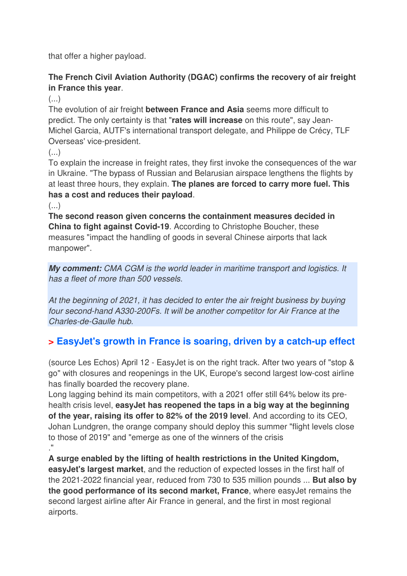that offer a higher payload.

### **The French Civil Aviation Authority (DGAC) confirms the recovery of air freight in France this year**.

(...)

The evolution of air freight **between France and Asia** seems more difficult to predict. The only certainty is that "**rates will increase** on this route", say Jean-Michel Garcia, AUTF's international transport delegate, and Philippe de Crécy, TLF Overseas' vice-president.

 $(\ldots)$ 

To explain the increase in freight rates, they first invoke the consequences of the war in Ukraine. "The bypass of Russian and Belarusian airspace lengthens the flights by at least three hours, they explain. **The planes are forced to carry more fuel. This has a cost and reduces their payload**.

(...)

**The second reason given concerns the containment measures decided in China to fight against Covid-19**. According to Christophe Boucher, these measures "impact the handling of goods in several Chinese airports that lack manpower".

**My comment:** CMA CGM is the world leader in maritime transport and logistics. It has a fleet of more than 500 vessels.

At the beginning of 2021, it has decided to enter the air freight business by buying four second-hand A330-200Fs. It will be another competitor for Air France at the Charles-de-Gaulle hub.

## **> EasyJet's growth in France is soaring, driven by a catch-up effect**

(source Les Echos) April 12 - EasyJet is on the right track. After two years of "stop & go" with closures and reopenings in the UK, Europe's second largest low-cost airline has finally boarded the recovery plane.

Long lagging behind its main competitors, with a 2021 offer still 64% below its prehealth crisis level, **easyJet has reopened the taps in a big way at the beginning of the year, raising its offer to 82% of the 2019 level**. And according to its CEO, Johan Lundgren, the orange company should deploy this summer "flight levels close to those of 2019" and "emerge as one of the winners of the crisis ."

**A surge enabled by the lifting of health restrictions in the United Kingdom, easyJet's largest market**, and the reduction of expected losses in the first half of the 2021-2022 financial year, reduced from 730 to 535 million pounds ... **But also by the good performance of its second market, France**, where easyJet remains the second largest airline after Air France in general, and the first in most regional airports.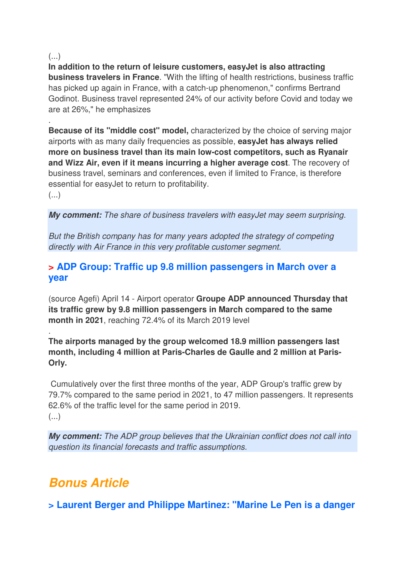#### (...)

.

**In addition to the return of leisure customers, easyJet is also attracting business travelers in France**. "With the lifting of health restrictions, business traffic has picked up again in France, with a catch-up phenomenon," confirms Bertrand Godinot. Business travel represented 24% of our activity before Covid and today we are at 26%," he emphasizes

**Because of its "middle cost" model,** characterized by the choice of serving major airports with as many daily frequencies as possible, **easyJet has always relied more on business travel than its main low-cost competitors, such as Ryanair and Wizz Air, even if it means incurring a higher average cost**. The recovery of business travel, seminars and conferences, even if limited to France, is therefore essential for easyJet to return to profitability.

 $\left(\ldots\right)$ 

.

**My comment:** The share of business travelers with easyJet may seem surprising.

But the British company has for many years adopted the strategy of competing directly with Air France in this very profitable customer segment.

### **> ADP Group: Traffic up 9.8 million passengers in March over a year**

(source Agefi) April 14 - Airport operator **Groupe ADP announced Thursday that its traffic grew by 9.8 million passengers in March compared to the same month in 2021**, reaching 72.4% of its March 2019 level

**The airports managed by the group welcomed 18.9 million passengers last month, including 4 million at Paris-Charles de Gaulle and 2 million at Paris-Orly.** 

 Cumulatively over the first three months of the year, ADP Group's traffic grew by 79.7% compared to the same period in 2021, to 47 million passengers. It represents 62.6% of the traffic level for the same period in 2019.  $($ ...)

**My comment:** The ADP group believes that the Ukrainian conflict does not call into question its financial forecasts and traffic assumptions.

## **Bonus Article**

**> Laurent Berger and Philippe Martinez: "Marine Le Pen is a danger**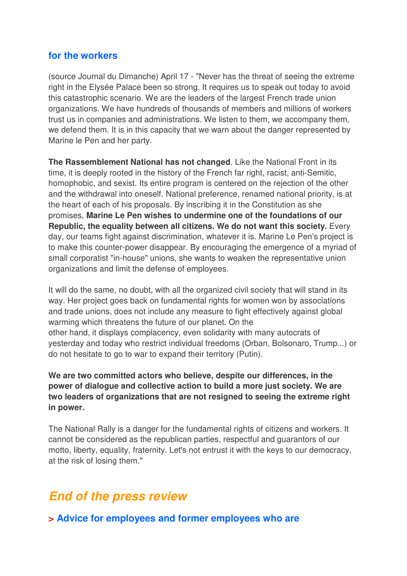### **for the workers**

(source Journal du Dimanche) April 17 - "Never has the threat of seeing the extreme right in the Elysée Palace been so strong. It requires us to speak out today to avoid this catastrophic scenario. We are the leaders of the largest French trade union organizations. We have hundreds of thousands of members and millions of workers trust us in companies and administrations. We listen to them, we accompany them, we defend them. It is in this capacity that we warn about the danger represented by Marine le Pen and her party.

**The Rassemblement National has not changed**. Like the National Front in its time, it is deeply rooted in the history of the French far right, racist, anti-Semitic, homophobic, and sexist. Its entire program is centered on the rejection of the other and the withdrawal into oneself. National preference, renamed national priority, is at the heart of each of his proposals. By inscribing it in the Constitution as she promises, **Marine Le Pen wishes to undermine one of the foundations of our Republic, the equality between all citizens. We do not want this society.** Every day, our teams fight against discrimination, whatever it is. Marine Le Pen's project is to make this counter-power disappear. By encouraging the emergence of a myriad of small corporatist "in-house" unions, she wants to weaken the representative union organizations and limit the defense of employees.

It will do the same, no doubt, with all the organized civil society that will stand in its way. Her project goes back on fundamental rights for women won by associations and trade unions, does not include any measure to fight effectively against global warming which threatens the future of our planet. On the other hand, it displays complacency, even solidarity with many autocrats of yesterday and today who restrict individual freedoms (Orban, Bolsonaro, Trump...) or do not hesitate to go to war to expand their territory (Putin).

**We are two committed actors who believe, despite our differences, in the power of dialogue and collective action to build a more just society. We are two leaders of organizations that are not resigned to seeing the extreme right in power.**

The National Rally is a danger for the fundamental rights of citizens and workers. It cannot be considered as the republican parties, respectful and guarantors of our motto, liberty, equality, fraternity. Let's not entrust it with the keys to our democracy, at the risk of losing them."

## **End of the press review**

**> Advice for employees and former employees who are**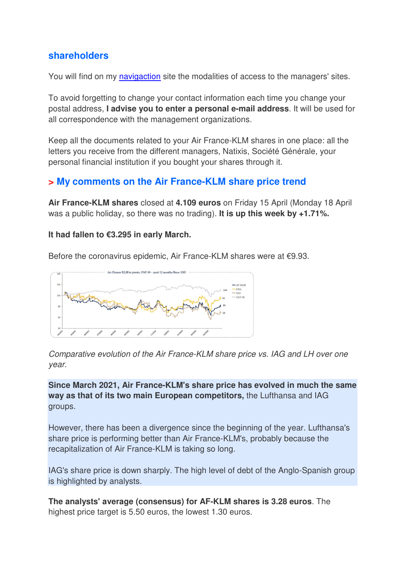### **shareholders**

You will find on my navigaction site the modalities of access to the managers' sites.

To avoid forgetting to change your contact information each time you change your postal address, **I advise you to enter a personal e-mail address**. It will be used for all correspondence with the management organizations.

Keep all the documents related to your Air France-KLM shares in one place: all the letters you receive from the different managers, Natixis, Société Générale, your personal financial institution if you bought your shares through it.

### **> My comments on the Air France-KLM share price trend**

**Air France-KLM shares** closed at **4.109 euros** on Friday 15 April (Monday 18 April was a public holiday, so there was no trading). **It is up this week by +1.71%.** 

#### **It had fallen to €3.295 in early March.**

Before the coronavirus epidemic, Air France-KLM shares were at €9.93.



Comparative evolution of the Air France-KLM share price vs. IAG and LH over one year.

**Since March 2021, Air France-KLM's share price has evolved in much the same way as that of its two main European competitors,** the Lufthansa and IAG groups.

However, there has been a divergence since the beginning of the year. Lufthansa's share price is performing better than Air France-KLM's, probably because the recapitalization of Air France-KLM is taking so long.

IAG's share price is down sharply. The high level of debt of the Anglo-Spanish group is highlighted by analysts.

**The analysts' average (consensus) for AF-KLM shares is 3.28 euros**. The highest price target is 5.50 euros, the lowest 1.30 euros.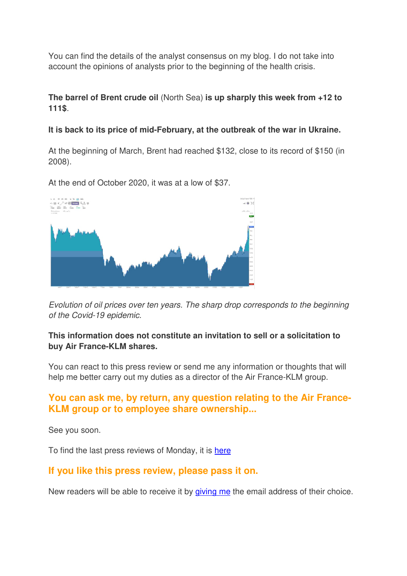You can find the details of the analyst consensus on my blog. I do not take into account the opinions of analysts prior to the beginning of the health crisis.

### **The barrel of Brent crude oil** (North Sea) **is up sharply this week from +12 to 111\$**.

#### **It is back to its price of mid-February, at the outbreak of the war in Ukraine.**

At the beginning of March, Brent had reached \$132, close to its record of \$150 (in 2008).

At the end of October 2020, it was at a low of \$37.



Evolution of oil prices over ten years. The sharp drop corresponds to the beginning of the Covid-19 epidemic.

### **This information does not constitute an invitation to sell or a solicitation to buy Air France-KLM shares.**

You can react to this press review or send me any information or thoughts that will help me better carry out my duties as a director of the Air France-KLM group.

### **You can ask me, by return, any question relating to the Air France-KLM group or to employee share ownership...**

See you soon.

To find the last press reviews of Monday, it is here

### **If you like this press review, please pass it on.**

New readers will be able to receive it by giving me the email address of their choice.